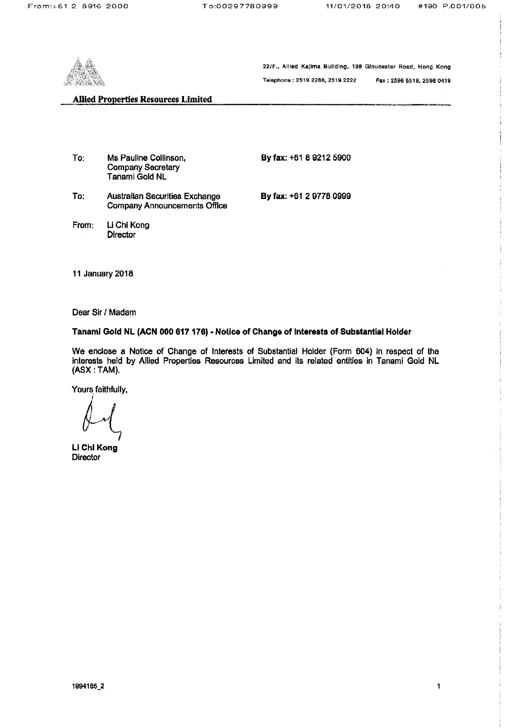

22/F., Allied Kajima Building, 138 Gloucester Road, Hong Kong

Telephone: 2519 2288, 2519 2222 Fax: 2598 5518, 2598 0419

## **Allied Properties Resources Limited**

| To∵   | Ms Pauline Collinson,<br><b>Company Secretary</b><br>Tanami Gold NL          | By fax: +61 8 9212 5900 |
|-------|------------------------------------------------------------------------------|-------------------------|
| To:   | <b>Australian Securities Exchange</b><br><b>Company Announcements Office</b> | By fax: +61 2 9778 0999 |
| From: | Li Chi Kong<br><b>Director</b>                                               |                         |

11 January 2018

Dear Sir / Madam

Tanami Gold NL (ACN 000 617 176) - Notice of Change of Interests of Substantial Holder

We enclose a Notice of Change of Interests of Substantial Holder (Form 604) in respect of the interests held by Allied Properties Resources Limited and its related entities in Tanami Gold NL (ASX: TAM).

Yours faithfully,

Li Chi Kong **Director**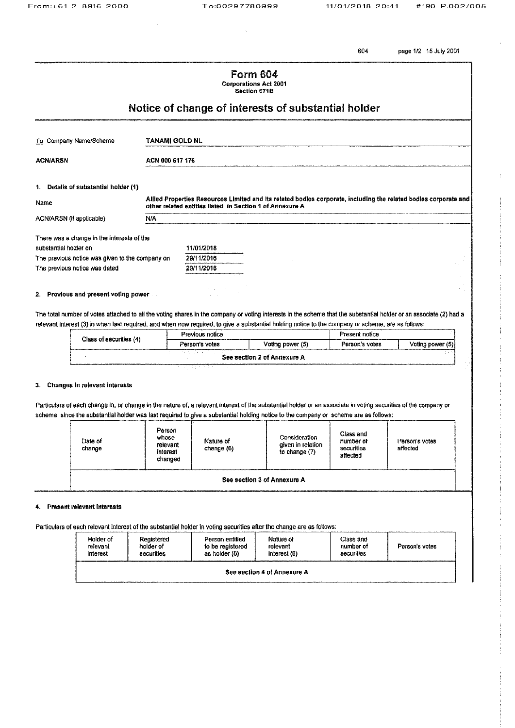604 page 1/2 15 July 2001

|                                                     |                 | <b>Form 604</b><br><b>Corporations Act 2001</b><br>Section 671B |                                                                                                                  |  |
|-----------------------------------------------------|-----------------|-----------------------------------------------------------------|------------------------------------------------------------------------------------------------------------------|--|
| Notice of change of interests of substantial holder |                 |                                                                 |                                                                                                                  |  |
| To Company Name/Scheme                              | TANAMI GOLD NL  |                                                                 |                                                                                                                  |  |
| <b>ACN/ARSN</b>                                     | ACN 000 617 176 |                                                                 |                                                                                                                  |  |
| 1. Details of substantial holder (1)                |                 |                                                                 |                                                                                                                  |  |
| Name                                                |                 | other related entities listed in Section 1 of Annexure A        | Allied Properties Resources Limited and its related bodies corporate, including the related bodies corporate and |  |
| ACN/ARSN (if applicable)                            | N/A             |                                                                 |                                                                                                                  |  |
| There was a change in the interests of the          |                 |                                                                 |                                                                                                                  |  |
| substantial holder on                               |                 | 11/01/2018                                                      |                                                                                                                  |  |
| The previous notice was given to the company on     |                 | 29/11/2016                                                      |                                                                                                                  |  |
| The previous notice was dated                       |                 | 29/11/2016                                                      |                                                                                                                  |  |
|                                                     |                 |                                                                 |                                                                                                                  |  |
|                                                     |                 | スーム・ア                                                           |                                                                                                                  |  |

2. Provious and present voting power

The total number of votes attached to all the voting shares in the company or voting interests in the scheme that the substantial holder or an associate (2) had a relevant interest (3) in when last required, and when now required, to give a substantial holding notice to the company or scheme, are as follows:

| Class of securities (4) | Previous notice |                             | Present notice |                  |
|-------------------------|-----------------|-----------------------------|----------------|------------------|
|                         | Person's votes  | Voting power (5)            | Person's votes | Voting power (5) |
|                         |                 | See section 2 of Annexure A |                |                  |

### 3. Changes in relevant interests

Particulars of each change in, or change in the nature of, a relevant interest of the substantial holder or an associate in voting securities of the company or scheme, since the substantial holder was last required to give a substantial holding notice to the company or scheme are as follows:

| Date of<br>change           | Person<br>whose<br>relevant<br>interest<br>changed | Nature of<br>change (6) | Consideration<br>given in relation<br>to change $(7)$ | Class and<br>number of<br>securities<br>affected | Person's votes<br>affected |
|-----------------------------|----------------------------------------------------|-------------------------|-------------------------------------------------------|--------------------------------------------------|----------------------------|
| See section 3 of Annexure A |                                                    |                         |                                                       |                                                  |                            |

### 4. Present relevant interests

Particulars of each relevant interest of the substantial holder in voting securities after the change are as follows:

| Holder of<br>relevant<br>interest | Registered<br>Person entitled<br>to be registered<br>holder of<br>as holder (8)<br>securities |  | Nature of<br>relevant<br>interest (6) | Class and<br>number of<br>securities | Person's votes |  |
|-----------------------------------|-----------------------------------------------------------------------------------------------|--|---------------------------------------|--------------------------------------|----------------|--|
| See section 4 of Annexure A       |                                                                                               |  |                                       |                                      |                |  |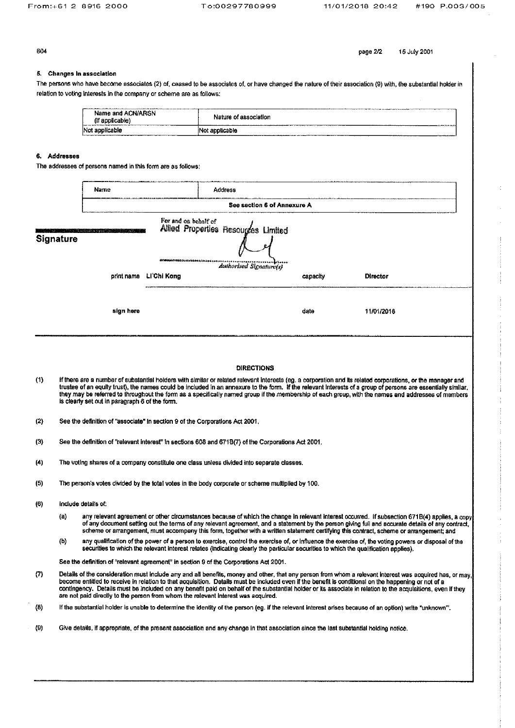page 2/2

15 July 2001

604

### 5. Changes in association

The persons who have become associates (2) of, ceased to be associates of, or have changed the nature of their association (9) with, the substantial holder in relation to voting interests in the company or scheme are as follows:

| professional colorador de la construcción de la construcción de la construcción de la construcción de la construcción<br>Name and ACN/ARSN<br>(if applicable)                                                                                    | <b>The Common and Common and Common and Common and Common and Common and Common and Common and Common and Common and Common and Common and Common and Common and Common and Common and Common and Common and Common and Common a</b><br>Nature of association<br><b>Market College State College Property and College Property and College Property and College Property</b> |
|--------------------------------------------------------------------------------------------------------------------------------------------------------------------------------------------------------------------------------------------------|------------------------------------------------------------------------------------------------------------------------------------------------------------------------------------------------------------------------------------------------------------------------------------------------------------------------------------------------------------------------------|
| Not applicable<br>A 4-Y-A 4-Y-A 12-Y-A 12-Y-A 2012 A 5-Y-A 12-Y-A 12-Y-A 2012 A 2012 A 2012 A 2012 A 2012 A 2012 A 2012 A 2012 A 2012 A 2012 A 2012 A 2012 A 2012 A 2012 A 2012 A 2012 A 2012 A 2012 A 2012 A 2012 A 2012 A 2012 A 2012 A 2012 A | iNot applicable<br>and and are compared to a set of a back of the dealer of the set of a set of the set of the set of the set of the set of the constant of the compared of the set of the set of the set of the set of the set of the set of the<br>AREA A PARTICULAR COMPANY CONTINUES OF                                                                                  |

### 6. Addresses

The addresses of persons named in this form are as follows:

|                     |     | Name                                                                                                                                                                                                                                      | Address                                                                                                                            |                             |                                                                                                                                                                                                                                                                                                                                                                                                                                                                                    |
|---------------------|-----|-------------------------------------------------------------------------------------------------------------------------------------------------------------------------------------------------------------------------------------------|------------------------------------------------------------------------------------------------------------------------------------|-----------------------------|------------------------------------------------------------------------------------------------------------------------------------------------------------------------------------------------------------------------------------------------------------------------------------------------------------------------------------------------------------------------------------------------------------------------------------------------------------------------------------|
|                     |     |                                                                                                                                                                                                                                           |                                                                                                                                    | See section 6 of Annexure A |                                                                                                                                                                                                                                                                                                                                                                                                                                                                                    |
| <b>Signature</b>    |     |                                                                                                                                                                                                                                           | For and on behalf of<br>Allied Properties Resources Limited<br>መነኛን አይደላ የአገሪቱ የሚያ ውድቱ በላይ <i>እና ቅድ</i><br>Authorised Signature(s) |                             |                                                                                                                                                                                                                                                                                                                                                                                                                                                                                    |
|                     |     | print name Li'Chi Kong                                                                                                                                                                                                                    |                                                                                                                                    | capacity                    | Director                                                                                                                                                                                                                                                                                                                                                                                                                                                                           |
|                     |     | sign here                                                                                                                                                                                                                                 |                                                                                                                                    | date                        | 11/01/2018                                                                                                                                                                                                                                                                                                                                                                                                                                                                         |
|                     |     |                                                                                                                                                                                                                                           |                                                                                                                                    |                             |                                                                                                                                                                                                                                                                                                                                                                                                                                                                                    |
|                     |     |                                                                                                                                                                                                                                           | <b>DIRECTIONS</b>                                                                                                                  |                             |                                                                                                                                                                                                                                                                                                                                                                                                                                                                                    |
| (1)                 |     | is clearly set out in paragraph 6 of the form.                                                                                                                                                                                            |                                                                                                                                    |                             | If there are a number of substantial holders with similar or related relevant interests (eg. a corporation and its related corporations, or the manager and<br>trustee of an equity trust), the names could be included in an annexure to the form. If the relevant interests of a group of persons are essentially similar,<br>they may be referred to throughout the form as a specifically named group if the membership of each group, with the names and addresses of members |
| (2)                 |     | See the definition of "associate" In section 9 of the Corporations Act 2001,                                                                                                                                                              |                                                                                                                                    |                             |                                                                                                                                                                                                                                                                                                                                                                                                                                                                                    |
| (3)                 |     | See the definition of "relevant interest" in sections 608 and 671B(7) of the Corporations Act 2001.                                                                                                                                       |                                                                                                                                    |                             |                                                                                                                                                                                                                                                                                                                                                                                                                                                                                    |
| (4)                 |     | The voting shares of a company constitute one class unless divided into separate classes.                                                                                                                                                 |                                                                                                                                    |                             |                                                                                                                                                                                                                                                                                                                                                                                                                                                                                    |
| (5)                 |     | The person's votes divided by the total votes in the body corporate or scheme multiplied by 100.                                                                                                                                          |                                                                                                                                    |                             |                                                                                                                                                                                                                                                                                                                                                                                                                                                                                    |
| (6)                 |     | include details of:                                                                                                                                                                                                                       |                                                                                                                                    |                             |                                                                                                                                                                                                                                                                                                                                                                                                                                                                                    |
|                     | (a) |                                                                                                                                                                                                                                           |                                                                                                                                    |                             | any relevant agreement or other circumstances because of which the change in relevant interest occurred. If subsection 671B(4) applies, a cop<br>of any document setting out the terms of any relevant agreement, and a statement by the person giving full and accurate details of any contract,<br>scheme or arrangement, must accompany this form, together with a written statement certifying this contract, scheme or arrangement; and                                       |
|                     | (b) | securities to which the relevant interest relates (indicating clearly the particular securities to which the qualification applies).                                                                                                      |                                                                                                                                    |                             | any qualification of the power of a person to exercise, control the exercise of, or influence the exercise of, the voting powers or disposal of the                                                                                                                                                                                                                                                                                                                                |
|                     |     | See the definition of "relevant agreement" in section 9 of the Corporations Act 2001.                                                                                                                                                     |                                                                                                                                    |                             |                                                                                                                                                                                                                                                                                                                                                                                                                                                                                    |
| (7)                 |     | become entitled to receive in relation to that acquisition. Details must be included even if the benefit is conditional on the happening or not of a<br>are not paid directly to the person from whom the relevant interest was acquired. |                                                                                                                                    |                             | Details of the consideration must include any and all benefits, money and other, that any person from whom a relevant interest was acquired has, or may<br>contingency. Details must be included on any benefit paid on behalf of the substantial holder or its associate in relation to the acquisitions, even if they                                                                                                                                                            |
| $\langle 8 \rangle$ |     |                                                                                                                                                                                                                                           |                                                                                                                                    |                             | If the substantial holder is unable to determine the identity of the person (eg. if the relevant interest arises because of an option) write "unknown".                                                                                                                                                                                                                                                                                                                            |
| (9)                 |     | Give details, if appropriate, of the present association and any change in that association since the last substantial holding notice.                                                                                                    |                                                                                                                                    |                             |                                                                                                                                                                                                                                                                                                                                                                                                                                                                                    |
|                     |     |                                                                                                                                                                                                                                           |                                                                                                                                    |                             |                                                                                                                                                                                                                                                                                                                                                                                                                                                                                    |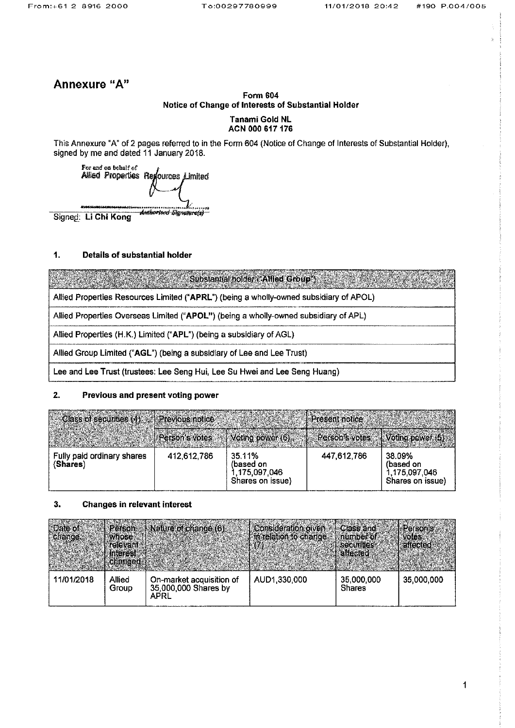# Annexure "A"

# **Form 604** Notice of Change of Interests of Substantial Holder

### **Tanami Gold NL** ACN 000 617 176

This Annexure "A" of 2 pages referred to in the Form 604 (Notice of Change of Interests of Substantial Holder), signed by me and dated 11 January 2018.



Signed: Li Chi Kong

#### $\ddagger$ . **Details of substantial holder**

Substantial holder ("Allied Group")

Allied Properties Resources Limited ("APRL") (being a wholly-owned subsidiary of APOL)

Allied Properties Overseas Limited ("APOL") (being a wholly-owned subsidiary of APL)

Allied Properties (H.K.) Limited ("APL") (being a subsidiary of AGL)

Allied Group Limited ("AGL") (being a subsidiary of Lee and Lee Trust)

Lee and Lee Trust (trustees: Lee Seng Hui, Lee Su Hwei and Lee Seng Huang)

#### $2.$ Previous and present voting power

| Class of securities (4) Previous notice |             |                                                          | I Present notice                                        |                                                          |
|-----------------------------------------|-------------|----------------------------------------------------------|---------------------------------------------------------|----------------------------------------------------------|
|                                         |             | Person's votes $\setminus$ Voting power (5)              | $\parallel$ Person's votes $\parallel$ Voting power (5) |                                                          |
| Fully paid ordinary shares<br>(Shares)  | 412,612,786 | 35.11%<br>(based on<br>1,175,097,046<br>Shares on issue) | 447,612,786                                             | 38.09%<br>(based on<br>1,175,097,046<br>Shares on issue) |

#### $3.$ Changes in relevant interest

| Date of<br><b>Change</b> | <b>MADSE</b><br><b>prelevant</b><br><b>Interest</b><br><b>Changed</b> | Person + Nature of change (6)                            | Consideration given<br>in relation to change. | <b>Class and</b><br><b>Anumber</b> or<br><b>L'SOCUTITIES</b><br><b>allected</b> | <b>Person's</b><br><b>Moles</b><br>affected |
|--------------------------|-----------------------------------------------------------------------|----------------------------------------------------------|-----------------------------------------------|---------------------------------------------------------------------------------|---------------------------------------------|
| 11/01/2018               | Allied<br>Group                                                       | On-market acquisition of<br>35,000,000 Shares by<br>APRL | AUD1.330,000                                  | 35,000,000<br><b>Shares</b>                                                     | 35,000,000                                  |

 $\mathbf 1$